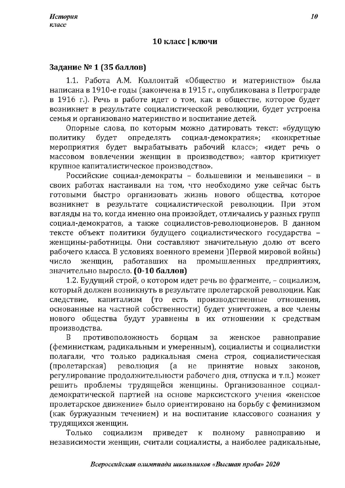## 10 класс | ключи

# Задание № 1 (35 баллов)

1.1. Работа А.М. Коллонтай «Общество и материнство» была написана в 1910-е годы (закончена в 1915 г., опубликована в Петрограде в 1916 г.). Речь в работе идет о том, как в обществе, которое будет возникнет в результате социалистической революции, будет устроена семья и организовано материнство и воспитание детей.

Опорные слова, по которым можно датировать текст: «будущую политику будет определять социал-демократия»; «конкретные мероприятия будет вырабатывать рабочий класс»; «идет речь о массовом вовлечении женщин в производство»; «автор критикует крупное капиталистическое производство».

Российские социал-демократы - большевики и меньшевики - в своих работах настаивали на том, что необходимо уже сейчас быть готовыми быстро организовать жизнь нового общества, которое возникнет в результате социалистической революции. При этом взгляды на то, когда именно она произойдет, отличались у разных групп социал-демократов, а также социалистов-революционеров. В данном тексте объект политики будущего социалистического государства женщины-работницы. Они составляют значительную долю от всего рабочего класса. В условиях военного времени )Первой мировой войны) число женщин. работавших промышленных предприятиях, на значительно выросло. (0-10 баллов)

1.2. Будущий строй, о котором идет речь во фрагменте, - социализм, который должен возникнуть в результате пролетарской революции. Как производственные следствие, капитализм (TO есть отношения, основанные на частной собственности) будет уничтожен, а все члены нового общества будут уравнены в их отношении к средствам производства.

B противоположность борцам за женское равноправие (феминисткам, радикальным и умеренным), социалисты и социалистки полагали, что только радикальная смена строя, социалистическая (пролетарская) революция (a He принятие новых законов. регулирование продолжительности рабочего дня, отпуска и т.п.) может решить проблемы трудящейся женщины. Организованное социалдемократической партией на основе марксистского учения «женское пролетарское движение» было ориентировано на борьбу с феминизмом (как буржуазным течением) и на воспитание классового сознания у трудящихся женщин.

Только социализм приведет  $\mathbf{K}$ равноправию полному И независимости женщин, считали социалисты, а наиболее радикальные,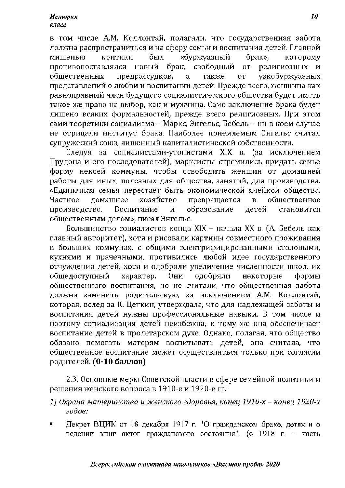в том числе А.М. Коллонтай, полагали, что государственная забота должна распространиться и на сферу семьи и воспитания детей. Главной мишенью **КОИТИКИ** был «буржуазный брак». KOTODOMV противопоставлялся новый брак, свободный религиозных **OT** узкобуржуазных обшественных предрассудков, a также **OT** представлений о любви и воспитании детей. Прежде всего, женщина как равноправный член будущего социалистического общества будет иметь такое же право на выбор, как и мужчина. Само заключение брака будет лишено всяких формальностей, прежде всего религиозных. При этом сами теоретики социализма – Маркс, Энгельс, Бебель – ни в коем случае не отрицали институт брака. Наиболее приемлемым Энгельс считал супружеский союз, лишенный капиталистической собственности.

Следуя за социалистами-утопистами XIX в. (за исключением Прудона и его последователей), марксисты стремились придать семье форму некоей коммуны, чтобы освободить женщин от домашней работы для иных, полезных для общества, занятий, для производства. «Единичная семья перестает быть экономической ячейкой общества. Частное домашнее хозяйство превращается  $\overline{\mathbf{B}}$ общественное производство. Воспитание образование детей становится И общественным делом», писал Энгельс.

Большинство социалистов конца XIX - начала XX в. (А. Бебель как главный авторитет), хотя и рисовали картины совместного проживания в больших коммунах, с общими электрифицированными столовыми, кухнями и прачечными, противились любой идее государственного отчуждения детей, хотя и одобряли увеличение численности школ, их общедоступный характер. Они одобряли некоторые формы общественного воспитания, но не считали, что общественная забота должна заменить родительскую, за исключением А.М. Коллонтай, которая, вслед за К. Цеткин, утверждала, что для надлежащей заботы и воспитания детей нужны профессиональные навыки. В том числе и поэтому социализация детей неизбежна, к тому же она обеспечивает воспитание детей в пролетарском духе. Однако, полагая, что общество обязано помогать матерям воспитывать детей, она считала, что общественное воспитание может осуществляться только при согласии родителей. (0-10 баллов)

2.3. Основные меры Советской власти в сфере семейной политики и решения женского вопроса в 1910-е и 1920-е гг.:

- 1) Охрана материнства и женского здоровья, конец 1910-х конец 1920-х годов:
- Декрет ВЦИК от 18 декабря 1917 г. "О гражданском браке, детях и о ведении книг актов гражданского состояния". (с 1918 г. – часть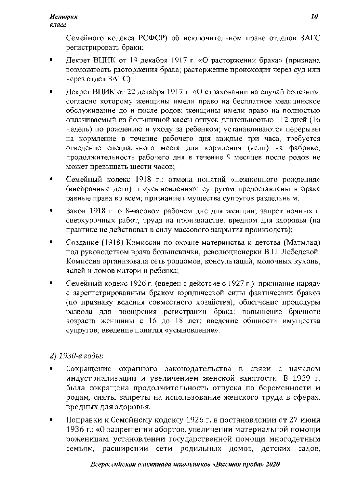Семейного кодекса РСФСР) об исключительном праве отделов ЗАГС регистрировать браки;

- Декрет ВЦИК от 19 декабря 1917 г. «О расторжении брака» (признана возможность расторжения брака; расторжение происходит через суд или через отдел ЗАГС);
- Декрет ВЦИК от 22 декабря 1917 г. «О страховании на случай болезни», согласно которому женщины имели право на бесплатное медицинское обслуживание до и после родов; женщины имели право на полностью оплачиваемый из больничной кассы отпуск длительностью 112 дней (16 недель) по рождению и уходу за ребенком; устанавливаются перерывы на кормление в течение рабочего дня каждые три часа, требуется отведение специального места для кормления (ясли) на фабрике; продолжительность рабочего дня в течение 9 месяцев после родов не может превышать шести часов;
- Семейный кодекс 1918 г.: отмена понятий «незаконного рождения» (внебрачные дети) и «усыновления»; супругам предоставлены в браке равные права во всем; признание имущества супругов раздельным.
- Закон 1918 г. о 8-часовом рабочем дне для женщин; запрет ночных и сверхурочных работ, труда на производстве, вредном для здоровья (на практике не действовал в силу массового закрытия производств);
- Создание (1918) Комиссии по охране материнства и детства (Матмлад) под руководством врача большевички, революционерки В.П. Лебедевой. Комиссия организовала сеть роддомов, консультаций, молочных кухонь, яслей и домов матери и ребенка;
- Семейный кодекс 1926 г. (введен в действие с 1927 г.): признание наряду с зарегистрированным браком юридической силы фактических браков (по признаку ведения совместного хозяйства), облегчение процедуры развода для поощрения регистрации брака; повышение брачного возраста женщины с 16 до 18 лет; введение общности имущества супругов; введение понятия «усыновление».

## 2) 1930-е годы:

- Сокращение охранного законодательства в связи с началом индустриализации и увеличением женской занятости. В 1939 г. была сокращена продолжительность отпуска по беременности и родам, сняты запреты на использование женского труда в сферах, вредных для здоровья.
- Поправки к Семейному кодексу 1926 г. в постановлении от 27 июня 1936 г.: «О запрещении абортов, увеличении материальной помощи роженицам, установлении государственной помощи многодетным семьям, расширении сети родильных домов, детских садов,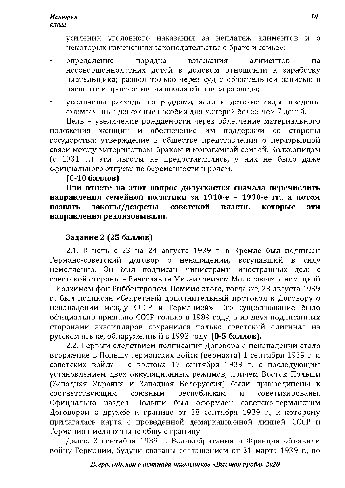усилении уголовного наказания за неплатеж алиментов и о некоторых изменениях законодательства о браке и семье»:

- определение порядка взыскания алиментов на несовершеннолетних детей в долевом отношении к заработку плательщика; развод только через суд с обязательной записью в паспорте и прогрессивная шкала сборов за разводы;
- увеличены расходы на роддома, ясли и детские сады, введены ежемесячные денежные пособия для матерей более, чем 7 детей.

Цель - увеличение рождаемости через облегчение материального и обеспечение им поллержки со стороны женшин положения государства; утверждение в обществе представления о неразрывной связи между материнством, браком и моногамной семьей. Колхозницам (с 1931 г.) эти льготы не предоставлялись, у них не было даже официального отпуска по беременности и родам.

### (0-10 баллов)

При ответе на этот вопрос допускается сначала перечислить направления семейной политики за 1910-е - 1930-е гг., а потом законы/декреты советской назвать власти. которые эти направления реализовывали.

## Задание 2 (25 баллов)

2.1. В ночь с 23 на 24 августа 1939 г. в Кремле был подписан Германо-советский договор о ненападении, вступавший в силу немедленно. Он был подписан министрами иностранных дел: с советской стороны - Вячеславом Михайловичем Молотовым, с немецкой – Иоахимом фон Риббентропом. Помимо этого, тогда же, 23 августа 1939 г., был подписан «Секретный дополнительный протокол к Договору о ненападении между СССР и Германией». Его существование было официально признано СССР только в 1989 году, а из двух подписанных сторонами экземпляров сохранился только советский оригинал на русском языке, обнаруженный в 1992 году. (0-5 баллов).

2.2. Первым следствием подписания Договора о ненападении стало вторжение в Польшу германских войск (вермахта) 1 сентября 1939 г. и советских войск - с востока 17 сентября 1939 г. с последующим установлением двух оккупационных режимов, причем Восток Польши (Западная Украина и Западная Белоруссия) были присоединены к соответствующим республикам союзным советизированы. И Официально раздел Польши был оформлен советско-германским Договором о дружбе и границе от 28 сентября 1939 г., к которому прилагалась карта с проведенной демаркационной линией. СССР и Германия имели отныне общую границу.

Далее, 3 сентября 1939 г. Великобритания и Франция объявили войну Германии, будучи связаны соглашением от 31 марта 1939 г., по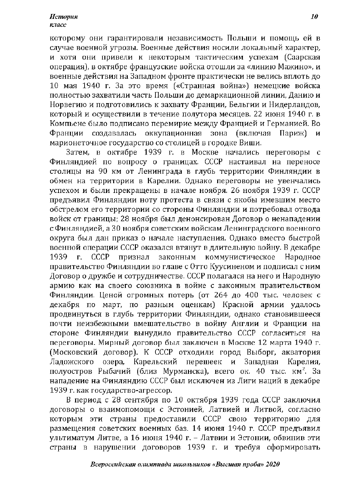#### **История** класс

которому они гарантировали независимость Польши и помощь ей в случае военной угрозы. Военные действия носили локальный характер, и хотя они привели к некоторым тактическим успехам (Саарская операция), в октябре французские войска отошли за «линию Мажино», и военные действия на Западном фронте практически не велись вплоть до 10 мая 1940 г. За это время («Странная война») немецкие войска полностью захватили часть Польши до демаркационной линии, Данию и Норвегию и подготовились к захвату Франции, Бельгии и Нидерландов. который и осуществили в течение полутора месяцев. 22 июня 1940 г. в Компьене было подписано перемирие между Францией и Германией. Во оккупационная зона (включая Франции создавалась Париж) И марионеточное государство со столицей в городке Виши.

Затем, в октябре 1939 г. в Москве начались переговоры с Финляндией по вопросу о границах. СССР настаивал на переносе столицы на 90 км от Ленинграда в глубь территории Финляндии в обмен на территории в Карелии. Однако переговоры не увенчались успехом и были прекращены в начале ноября. 26 ноября 1939 г. СССР предъявил Финляндии ноту протеста в связи с якобы имевшим место обстрелом его территории со стороны Финляндии и потребовал отвода войск от границы; 28 ноября был денонсирован Договор о ненападении с Финляндией, а 30 ноября советским войскам Ленинградского военного округа был дан приказ о начале наступления. Однако вместо быстрой военной операции СССР оказался втянут в длительную войну. В декабре законным коммунистическое 1939 г. СССР признал Народное правительство Финляндии во главе с Отто Куусиненом и подписал с ним Договор о дружбе и сотрудничестве. СССР полагался на него и Народную армию как на своего союзника в войне с законным правительством Финляндии. Ценой огромных потерь (от 264 до 400 тыс. человек с декабря по март, по разным оценкам) Красной армии удалось продвинуться в глубь территории Финляндии, однако становившееся почти неизбежными вмешательство в войну Англии и Франции на стороне Финляндии вынудило правительство СССР согласиться на переговоры. Мирный договор был заключен в Москве 12 марта 1940 г. (Московский договор). К СССР отходили город Выборг, акватория Ладожского озера, Карельский перешеек и Западная Карелия. полуостров Рыбачий (близ Мурманска), всего ок. 40 тыс. км<sup>2</sup>. За нападение на Финляндию СССР был исключен из Лиги наций в декабре 1939 г. как государство-агрессор.

В период с 28 сентября по 10 октября 1939 года СССР заключил договоры о взаимопомощи с Эстонией, Латвией и Литвой, согласно которым эти страны предоставили СССР свою территорию для размещения советских военных баз. 14 июня 1940 г. СССР предъявил ультиматум Литве, а 16 июня 1940 г. - Латвии и Эстонии, обвинив эти страны в нарушении договоров 1939 г. и требуя сформировать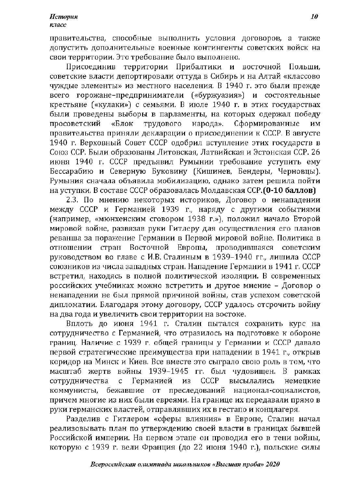правительства, способные выполнить условия договоров, а также допустить дополнительные военные контингенты советских войск на свои территории. Это требование было выполнено.

Присоединив территории Прибалтики и восточной Польши, советские власти депортировали оттуда в Сибирь и на Алтай «классово чуждые элементы» из местного населения. В 1940 г. это были прежде всего горожане-предприниматели («буржуазия») и состоятельные крестьяне («кулаки») с семьями. В июле 1940 г. в этих государствах были проведены выборы в парламенты, на которых одержал победу просоветский «Блок трудового народа». Сформированные ИМ правительства приняли декларации о присоединении к СССР. В августе 1940 г. Верховный Совет СССР одобрил вступление этих государств в Союз ССР. Были образованы Литовская, Латвийская и Эстонская ССР. 26 июня 1940 г. СССР предъявил Румынии требование уступить ему Бессарабию и Северную Буковину (Кишинев, Бендеры, Черновцы). Румыния сначала объявила мобилизацию, однако затем решила пойти на уступки. В составе СССР образовалась Молдавская ССР. (0-10 баллов)

2.3. По мнению некоторых историков, Договор о ненападении между СССР и Германией 1939 г., наряду с другими событиями (например, «мюнхенским сговором 1938 г.»), положил начало Второй мировой войне, развязав руки Гитлеру для осуществления его планов реванша за поражение Германии в Первой мировой войне. Политика в отношении стран Восточной Европы, проводившаяся советским руководством во главе с И.В. Сталиным в 1939-1940 гг., лишила СССР союзников из числа западных стран. Нападение Германии в 1941 г. СССР встретил, находясь в полной политической изоляции. В современных российских учебниках можно встретить и другое мнение - Договор о ненападении не был прямой причиной войны, став успехом советской дипломатии. Благодаря этому договору, СССР удалось отсрочить войну на два года и увеличить свои территории на востоке.

Вплоть до июня 1941 г. Сталин пытался сохранить курс на сотрудничество с Германией, что отразилось на подготовке к обороне границ. Наличие с 1939 г. общей границы у Германии и СССР давало первой стратегические преимущества при нападении в 1941 г., открыв коридор на Минск и Киев. Все вместе это сыграло свою роль в том, что масштаб жертв войны 1939–1945 гг. был чудовищен. В рамках сотрудничества  $\overline{c}$ Германией ИЗ CCCP высылались немецкие коммунисты, бежавшие от преследований национал-социалистов, причем многие из них были евреями. На границе их передавали прямо в руки германских властей, отправлявших их в гестапо и концлагеря.

Разделив с Гитлером «сферы влияния» в Европе, Сталин начал реализовывать план по утверждению своей власти в границах бывшей Российской империи. На первом этапе он проводил его в тени войны, которую с 1939 г. вели Франция (до 22 июня 1940 г.), польские силы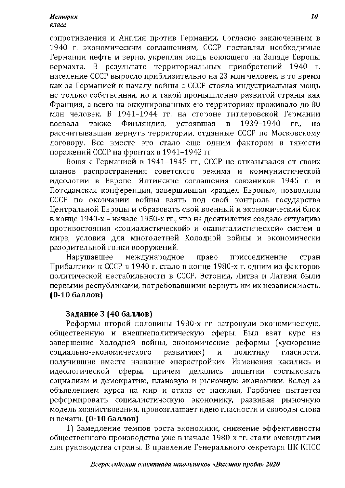сопротивления и Англия против Германии. Согласно заключенным в 1940 г. экономическим соглашениям, СССР поставлял необходимые Германии нефть и зерно, укрепляя мощь воюющего на Западе Европы вермахта. В результате территориальных приобретений 1940 г. население СССР выросло приблизительно на 23 млн человек, в то время как за Германией к началу войны с СССР стояла индустриальная мощь не только собственная, но и такой промышленно развитой страны как Франция, а всего на оккупированных ею территориях проживало до 80 млн человек. В 1941-1944 гг. на стороне гитлеровской Германии 1939-1940 воевала также Финляндия, устоявшая  $\mathbf{B}$  $\Gamma\Gamma...$ HO рассчитывавшая вернуть территории, отданные СССР по Московскому договору. Все вместе это стало еще одним фактором в тяжести поражений СССР на фронтах в 1941-1942 гг.

Воюя с Германией в 1941-1945 гг., СССР не отказывался от своих планов распространения советского режима и коммунистической идеологии в Европе. Ялтинские соглашения союзников 1945 г. и Потсдамская конференция, завершившая «раздел Европы», позволили СССР по окончании войны взять под свой контроль государства Центральной Европы и образовать свой военный и экономический блок в конце 1940-х – начале 1950-х гг., что на десятилетия создало ситуацию противостояния «социалистической» и «капиталистической» систем в мире, условия для многолетней Холодной войны и экономически разорительной гонки вооружений.

**Нарушавшее** международное право присоединение стран Прибалтики к СССР в 1940 г. стало в конце 1980-х г. одним из факторов политической нестабильности в СССР. Эстония, Литва и Латвия были первыми республиками, потребовавшими вернуть им их независимость. (0-10 баллов)

## Задание 3 (40 баллов)

Реформы второй половины 1980-х гг. затронули экономическую, общественную и внешнеполитическую сферы. Был взят курс на завершение Холодной войны, экономические реформы («ускорение социально-экономического развития») ПОЛИТИКУ  $\mathbf{M}$ гласности. получившие вместе название «перестройки». Изменения касались и причем делались идеологической сферы, ПОПЫТКИ состыковать социализм и демократию, плановую и рыночную экономики. Вслед за объявлением курса на мир и отказ от насилия, Горбачев пытается реформировать социалистическую экономику, развивая рыночную модель хозяйствования, провозглашает идею гласности и свободы слова и печати. (0-10 баллов)

1) Замедление темпов роста экономики, снижение эффективности общественного производства уже в начале 1980-х гг. стали очевидными для руководства страны. В правление Генерального секретаря ЦК КПСС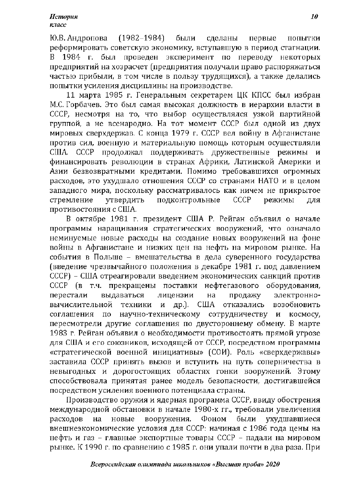$(1982 - 1984)$ Ю.В. Андропова были сделаны первые ПОПЫТКИ реформировать советскую экономику, вступавшую в период стагнации. В 1984 г. был проведен эксперимент по переводу некоторых предприятий на хозрасчет (предприятия получали право распоряжаться частью прибыли, в том числе в пользу трудящихся), а также делались попытки усиления дисциплины на производстве.

11 марта 1985 г. Генеральным секретарем ЦК КПСС был избран М.С. Горбачев. Это был самая высокая должность в иерархии власти в СССР, несмотря на то, что выбор осуществлялся узкой партийной группой, а не всенародно. На тот момент СССР был одной из двух мировых сверхдержав. С конца 1979 г. СССР вел войну в Афганистане против сил, военную и материальную помощь которым осуществляли США. СССР продолжал поддерживать дружественные режимы и финансировать революции в странах Африки, Латинской Америки и Азии безвозвратными кредитами. Помимо требовавшихся огромных расходов, это ухудшало отношения СССР со странами НАТО и в целом западного мира, поскольку рассматривалось как ничем не прикрытое стремление **УТВердить** подконтрольные CCCP режимы ДЛЯ противостояния с США.

В октябре 1981 г. президент США Р. Рейган объявил о начале программы наращивания стратегических вооружений, что означало неминуемые новые расходы на создание новых вооружений на фоне войны в Афганистане и низких цен на нефть на мировом рынке. На события в Польше - вмешательства в дела суверенного государства (введение чрезвычайного положения в декабре 1981 г. под давлением СССР) – США отреагировали введением экономических санкций против СССР (в т.ч. прекращены поставки нефтегазового оборудования, перестали выдаваться лицензии на продажу электронновычислительной техники  $\boldsymbol{\mathrm{M}}$ др.).  $C<sub>II</sub>A$ отказались возобновить научно-техническому сотрудничеству  $\Pi 0$ космосу, соглашения И пересмотрели другие соглашения по двустороннему обмену. В марте 1983 г. Рейган объявил о необходимости противостоять прямой угрозе для США и его союзников, исходящей от СССР, посредством программы «стратегической военной инициативы» (СОИ). Роль «сверхдержавы» заставила СССР принять вызов и вступить на путь соперничества в невыгодных и дорогостоящих областях гонки вооружений. Этому способствовала принятая ранее модель безопасности, достигавшейся посредством усиления военного потенциала страны.

Производство оружия и ядерная программа СССР, ввиду обострения международной обстановки в начале 1980-х гг., требовали увеличения расходов вооружения. Фоном были ухудшавшиеся на новые внешнеэкономические условия для СССР: начиная с 1986 года цены на нефть и газ - главные экспортные товары СССР - падали на мировом рынке. К 1990 г. по сравнению с 1985 г. они упали почти в два раза. При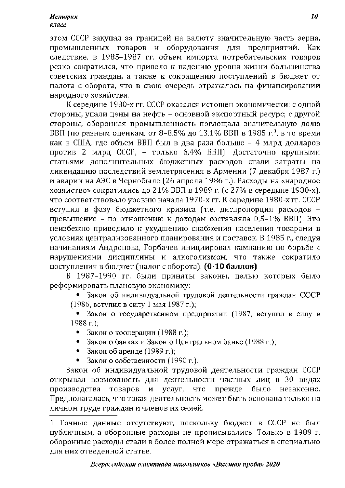**История** класс

этом СССР закупал за границей на валюту значительную часть зерна, промышленных товаров и оборудования для предприятий. Как следствие, в 1985-1987 гг. объем импорта потребительских товаров резко сократился, что привело к падению уровня жизни большинства советских граждан, а также к сокращению поступлений в бюджет от налога с оборота, что в свою очередь отражалось на финансировании народного хозяйства.

К середине 1980-х гг. СССР оказался истощен экономически: с одной стороны, упали цены на нефть - основной экспортный ресурс; с другой стороны, оборонная промышленность поглощала значительную долю ВВП (по разным оценкам, от 8-8,5% до 13,1% ВВП в 1985 г.<sup>1</sup>, в то время как в США, где объем ВВП был в два раза больше - 4 млрд долларов против 2 млрд СССР, - только 6,4% ВВП). Достаточно крупными статьями дополнительных бюджетных расходов стали затраты на ликвидацию последствий землетрясения в Армении (7 декабря 1987 г.) и аварии на АЭС в Чернобыле (26 апреля 1986 г.). Расходы на «народное хозяйство» сократились до 21% ВВП в 1989 г. (с 27% в середине 1980-х), что соответствовало уровню начала 1970-х гг. К середине 1980-х гг. СССР вступил в фазу бюджетного кризиса (т.е. диспропорция расходов превышение - по отношению к доходам составляла 0,5-1% ВВП). Это неизбежно приводило к ухудшению снабжения населения товарами в условиях централизованного планирования и поставок. В 1985 г., следуя начинаниям Андропова, Горбачев инициировал кампанию по борьбе с нарушениями дисциплины и алкоголизмом, что также сократило поступления в бюджет (налог с оборота). (0-10 баллов)

В 1987-1990 гг. были приняты законы, целью которых было реформировать плановую экономику:

• Закон об индивидуальной трудовой деятельности граждан СССР (1986, вступил в силу 1 мая 1987 г.);

• Закон о государственном предприятии (1987, вступил в силу в  $1988$  г.):

- Закон о кооперации (1988 г.);
- Закон о банках и Закон о Центральном банке (1988 г.);
- Закон об аренде (1989 г.);
- Закон о собственности (1990 г.).

Закон об индивидуальной трудовой деятельности граждан СССР открывал возможность для деятельности частных лиц в 30 видах производства товаров услуг, прежде было  $\mathbf{M}$ что незаконно. Предполагалась, что такая деятельность может быть основана только на личном труде граждан и членов их семей.

<sup>1</sup> Точные данные отсутствуют, поскольку бюджет в СССР не был публичным, а оборонные расходы не прописывались. Только в 1989 г. оборонные расходы стали в более полной мере отражаться в специально для них отведенной статье.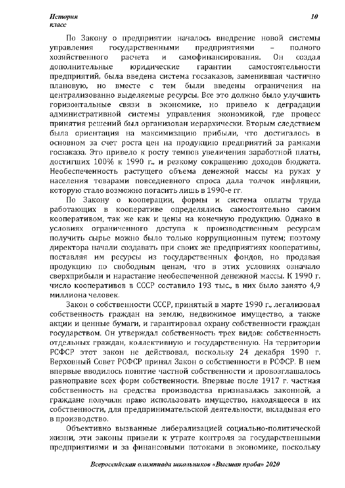По Закону о предприятии началось внедрение новой системы управления государственными предприятиями  $\overline{a}$ полного хозяйственного самофинансирования. расчета И 0н создал дополнительные юридические гарантии самостоятельности предприятий, была введена система госзаказов, заменившая частично вместе  $c$   $rem$ были введены плановую. HO ограничения Ha централизованно выделяемые ресурсы. Все это должно было улучшить экономике, но привело к деградации горизонтальные связи в административной системы управления экономикой, где процесс принятия решений был организован иерархически. Вторым следствием была ориентация на максимизацию прибыли, что достигалось в основном за счет роста цен на продукцию предприятий за рамками госзаказа. Это привело к росту темпов увеличения заработной платы, достигших 100% к 1990 г., и резкому сокращению доходов бюджета. Необеспеченность растущего объема денежной массы на руках у населения товарами повседневного спроса дала толчок инфляции, которую стало возможно погасить лишь в 1990-е гг.

По Закону о кооперации, формы и система оплаты труда работающих в кооперативе определялись самостоятельно самим кооперативом, так же как и цены на конечную продукцию. Однако в условиях ограниченного доступа к производственным ресурсам получить сырье можно было только коррупционным путем; поэтому директора начали создавать при своих же предприятиях кооперативы, поставляя им ресурсы из государственных фондов, но продавая продукцию по свободным ценам, что в этих условиях означало сверхприбыли и нарастание необеспеченной денежной массы. К 1990 г. число кооперативов в СССР составило 193 тыс., в них было занято 4,9 миллиона человек.

Закон о собственности СССР, принятый в марте 1990 г., легализовал собственность граждан на землю, недвижимое имущество, а также акции и ценные бумаги, и гарантировал охрану собственности граждан государством. Он утверждал собственность трех видов: собственность отдельных граждан, коллективную и государственную. На территории РСФСР этот закон не действовал, поскольку 24 декабря 1990 г. Верховный Совет РСФСР принял Закон о собственности в РСФСР. В нем впервые вводилось понятие частной собственности и провозглашалось равноправие всех форм собственности. Впервые после 1917 г. частная собственность на средства производства признавалась законной, а граждане получили право использовать имущество, находящееся в их собственности, для предпринимательской деятельности, вкладывая его в производство.

Объективно вызванные либерализацией социально-политической жизни, эти законы привели к утрате контроля за государственными предприятиями и за финансовыми потоками в экономике, поскольку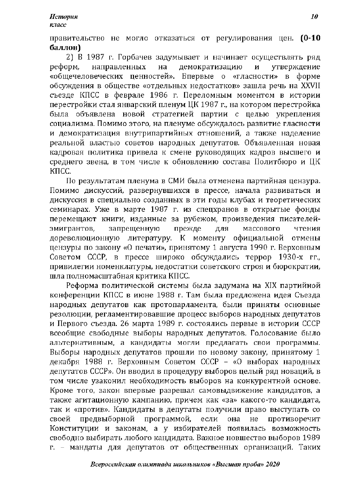правительство не могло отказаться от регулирования цен. (0-10 баллов)

2) В 1987 г. Горбачев задумывает и начинает осуществлять ряд направленных демократизацию утверждение реформ. на  $\overline{\mathbf{H}}$ «общечеловеческих ценностей». Впервые о «гласности» в форме обсуждения в обществе «отдельных недостатков» зашла речь на XXVII съезде КПСС в феврале 1986 г. Переломным моментом в истории перестройки стал январский пленум ЦК 1987 г., на котором перестройка была объявлена новой стратегией партии с целью укрепления социализма. Помимо этого, на пленуме обсуждалось развитие гласности и демократизация внутрипартийных отношений, а также наделение реальной властью советов народных депутатов. Объявленная новая кадровая политика привела к смене руководящих кадров высшего и среднего звена, в том числе к обновлению состава Политбюро и ЦК KHCC.

По результатам пленума в СМИ была отменена партийная цензура. Помимо дискуссий, развернувшихся в прессе, начала развиваться и дискуссия в специально созданных в эти годы клубах и теоретических семинарах. Уже в марте 1987 г. из спецхранов в открытые фонды перемещают книги, изданные за рубежом, произведения писателейэмигрантов. запрещенную прежде для массового чтения дореволюционную литературу.  $\mathbf{K}$ моменту официальной отмены цензуры по закону «О печати», принятому 1 августа 1990 г. Верховным Советом СССР, в прессе широко обсуждались террор 1930-х гг. привилегии номенклатуры, недостатки советского строя и бюрократии, шла полномасштабная критика КПСС.

Реформа политической системы была задумана на XIX партийной конференции КПСС в июне 1988 г. Там была предложена идея Съезда народных депутатов как протопарламента, были приняты основные резолюции, регламентировавшие процесс выборов народных депутатов и Первого съезда. 26 марта 1989 г. состоялись первые в истории СССР всеобщие свободные выборы народных депутатов. Голосование было альтернативным, а кандидаты могли предлагать свои программы. Выборы народных депутатов прошли по новому закону, принятому 1 декабря 1988 г. Верховным Советом СССР - «О выборах народных депутатов СССР». Он вводил в процедуру выборов целый ряд новаций, в том числе узаконил необходимость выборов на конкурентной основе. Кроме того, закон впервые разрешал самовыдвижение кандидатов, а также агитационную кампанию, причем как «за» какого-то кандидата, так и «против». Кандидаты в депутаты получили право выступать со предвыборной программой, противоречит если своей она He Конституции и законам, а у избирателей появилась возможность свободно выбирать любого кандидата. Важное новшество выборов 1989 г. - мандаты для депутатов от общественных организаций. Таких